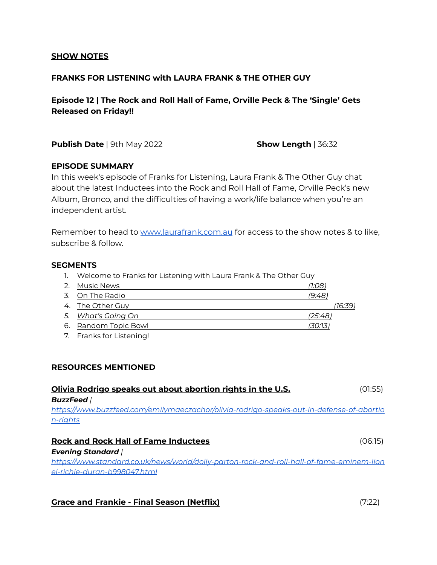## **SHOW NOTES**

## **FRANKS FOR LISTENING with LAURA FRANK & THE OTHER GUY**

**Episode 12 | The Rock and Roll Hall of Fame, Orville Peck & The 'Single' Gets Released on Friday!!**

**Publish Date** | 9th May 2022 **Show Length** | 36:32

## **EPISODE SUMMARY**

In this week's episode of Franks for Listening, Laura Frank & The Other Guy chat about the latest Inductees into the Rock and Roll Hall of Fame, Orville Peck's new Album, Bronco, and the difficulties of having a work/life balance when you're an independent artist.

Remember to head to [www.laurafrank.com.au](http://www.laurafrank.com.au) for access to the show notes & to like, subscribe & follow.

#### **SEGMENTS**

1. Welcome to Franks for Listening with Laura Frank & The Other Guy

| 2. Music News        | (1:08)  |         |
|----------------------|---------|---------|
| 3. On The Radio      | (9:48)  |         |
| 4. The Other Guy     |         | (16:39) |
| 5. What's Going On   | (25:48) |         |
| 6. Random Topic Bowl | (30:13) |         |
| ________________     |         |         |

7. Franks for Listening!

## **RESOURCES MENTIONED**

| Olivia Rodrigo speaks out about abortion rights in the U.S.                               | (01:55) |
|-------------------------------------------------------------------------------------------|---------|
| <b>BuzzFeed</b> /                                                                         |         |
| https://www.buzzfeed.com/emilymaeczachor/olivia-rodrigo-speaks-out-in-defense-of-abortio  |         |
| n-rights                                                                                  |         |
|                                                                                           |         |
| <b>Rock and Rock Hall of Fame Inductees</b><br>(06:15)                                    |         |
| <b>Evening Standard /</b>                                                                 |         |
| https://www.standard.co.uk/news/world/dolly-parton-rock-and-roll-hall-of-fame-eminem-lion |         |

*[el-richie-duran-b998047.html](https://www.standard.co.uk/news/world/dolly-parton-rock-and-roll-hall-of-fame-eminem-lionel-richie-duran-b998047.html)*

# **Grace and Frankie - Final Season (Netflix)** (7:22)